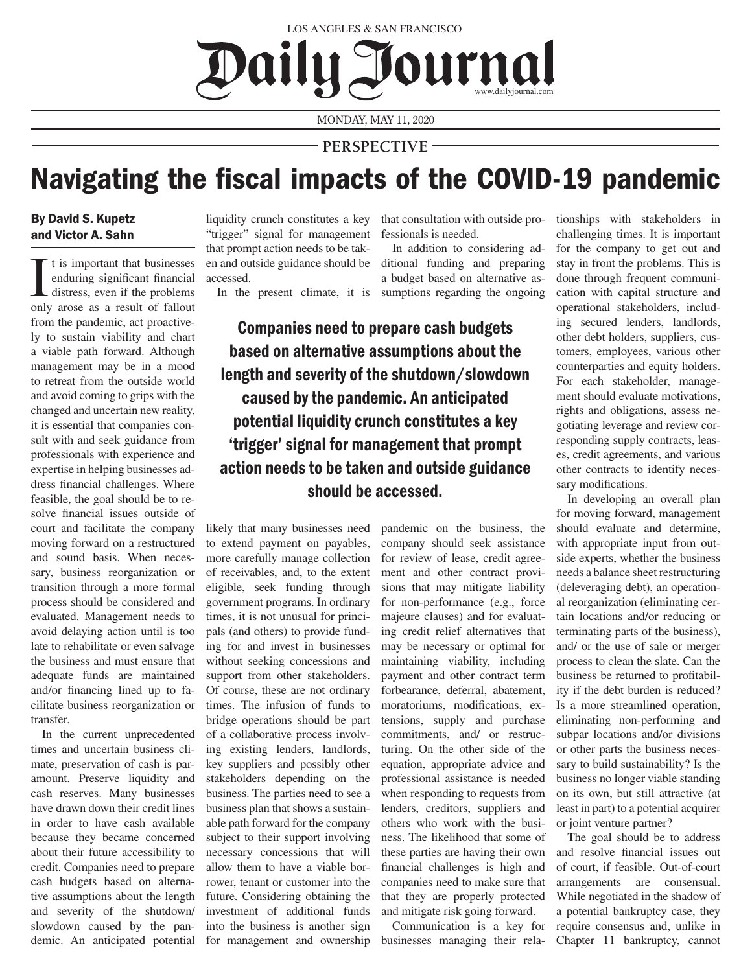Daily Journal LOS ANGELES & SAN FRANCISCO

MONDAY, MAY 11, 2020

## **PERSPECTIVE**

## Navigating the fiscal impacts of the COVID-19 pandemic

## By David S. Kupetz and Victor A. Sahn

I t is important that businesses<br>enduring significant financial<br>distress, even if the problems<br>only arose as a result of fallout t is important that businesses enduring significant financial distress, even if the problems from the pandemic, act proactively to sustain viability and chart a viable path forward. Although management may be in a mood to retreat from the outside world and avoid coming to grips with the changed and uncertain new reality, it is essential that companies consult with and seek guidance from professionals with experience and expertise in helping businesses address financial challenges. Where feasible, the goal should be to resolve financial issues outside of court and facilitate the company moving forward on a restructured and sound basis. When necessary, business reorganization or transition through a more formal process should be considered and evaluated. Management needs to avoid delaying action until is too late to rehabilitate or even salvage the business and must ensure that adequate funds are maintained and/or financing lined up to facilitate business reorganization or transfer.

In the current unprecedented times and uncertain business climate, preservation of cash is paramount. Preserve liquidity and cash reserves. Many businesses have drawn down their credit lines in order to have cash available because they became concerned about their future accessibility to credit. Companies need to prepare cash budgets based on alternative assumptions about the length and severity of the shutdown/ slowdown caused by the pandemic. An anticipated potential

"trigger" signal for management that prompt action needs to be taken and outside guidance should be accessed.

liquidity crunch constitutes a key that consultation with outside professionals is needed.

In the present climate, it is sumptions regarding the ongoing In addition to considering additional funding and preparing a budget based on alternative as-

Companies need to prepare cash budgets based on alternative assumptions about the length and severity of the shutdown/slowdown caused by the pandemic. An anticipated potential liquidity crunch constitutes a key 'trigger' signal for management that prompt action needs to be taken and outside guidance should be accessed.

likely that many businesses need to extend payment on payables, more carefully manage collection of receivables, and, to the extent eligible, seek funding through government programs. In ordinary times, it is not unusual for principals (and others) to provide funding for and invest in businesses without seeking concessions and support from other stakeholders. Of course, these are not ordinary times. The infusion of funds to bridge operations should be part of a collaborative process involving existing lenders, landlords, key suppliers and possibly other stakeholders depending on the business. The parties need to see a business plan that shows a sustainable path forward for the company subject to their support involving necessary concessions that will allow them to have a viable borrower, tenant or customer into the future. Considering obtaining the investment of additional funds into the business is another sign for management and ownership pandemic on the business, the company should seek assistance for review of lease, credit agreement and other contract provisions that may mitigate liability for non-performance (e.g., force majeure clauses) and for evaluating credit relief alternatives that may be necessary or optimal for maintaining viability, including payment and other contract term forbearance, deferral, abatement, moratoriums, modifications, extensions, supply and purchase commitments, and/ or restructuring. On the other side of the equation, appropriate advice and professional assistance is needed when responding to requests from lenders, creditors, suppliers and others who work with the business. The likelihood that some of these parties are having their own financial challenges is high and companies need to make sure that that they are properly protected and mitigate risk going forward.

Communication is a key for businesses managing their relationships with stakeholders in challenging times. It is important for the company to get out and stay in front the problems. This is done through frequent communication with capital structure and operational stakeholders, including secured lenders, landlords, other debt holders, suppliers, customers, employees, various other counterparties and equity holders. For each stakeholder, management should evaluate motivations, rights and obligations, assess negotiating leverage and review corresponding supply contracts, leases, credit agreements, and various other contracts to identify necessary modifications.

In developing an overall plan for moving forward, management should evaluate and determine, with appropriate input from outside experts, whether the business needs a balance sheet restructuring (deleveraging debt), an operational reorganization (eliminating certain locations and/or reducing or terminating parts of the business), and/ or the use of sale or merger process to clean the slate. Can the business be returned to profitability if the debt burden is reduced? Is a more streamlined operation, eliminating non-performing and subpar locations and/or divisions or other parts the business necessary to build sustainability? Is the business no longer viable standing on its own, but still attractive (at least in part) to a potential acquirer or joint venture partner?

The goal should be to address and resolve financial issues out of court, if feasible. Out-of-court arrangements are consensual. While negotiated in the shadow of a potential bankruptcy case, they require consensus and, unlike in Chapter 11 bankruptcy, cannot